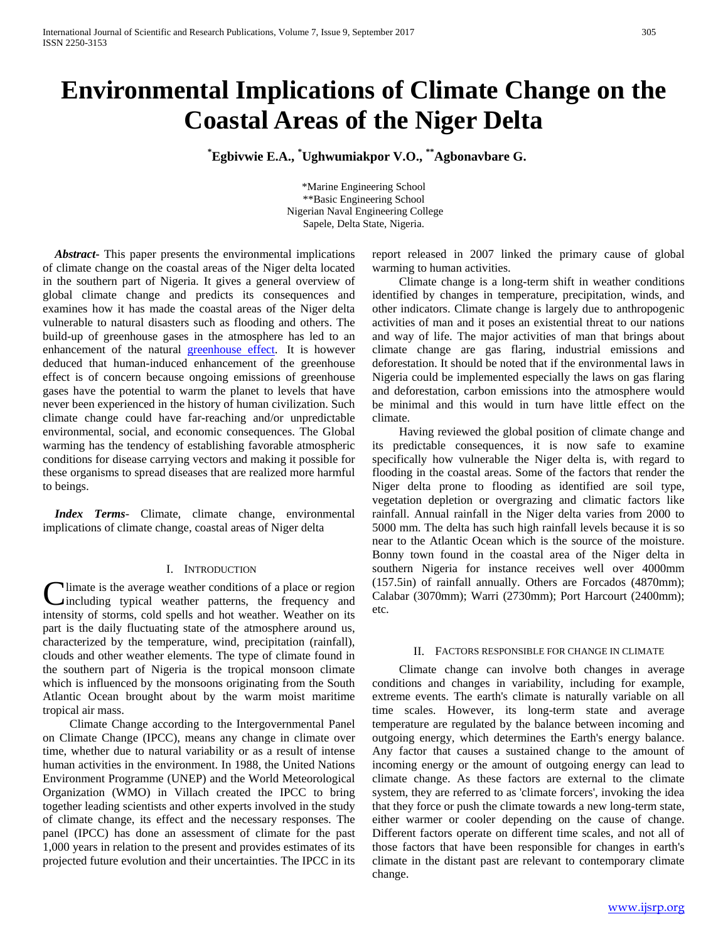# **Environmental Implications of Climate Change on the Coastal Areas of the Niger Delta**

 **\* Egbivwie E.A., \* Ughwumiakpor V.O., \*\*Agbonavbare G.** 

\*Marine Engineering School \*\*Basic Engineering School Nigerian Naval Engineering College Sapele, Delta State, Nigeria.

 *Abstract***-** This paper presents the environmental implications of climate change on the coastal areas of the Niger delta located in the southern part of Nigeria. It gives a general overview of global climate change and predicts its consequences and examines how it has made the coastal areas of the Niger delta vulnerable to natural disasters such as flooding and others. The build-up of greenhouse gases in the atmosphere has led to an enhancement of the natural [greenhouse effect.](http://www.climatechange.gc.ca/default.asp?lang=En&n=1A0305D5-1) It is however deduced that human-induced enhancement of the greenhouse effect is of concern because ongoing emissions of greenhouse gases have the potential to warm the planet to levels that have never been experienced in the history of human civilization. Such climate change could have far-reaching and/or unpredictable environmental, social, and economic consequences. The Global warming has the tendency of establishing favorable atmospheric conditions for disease carrying vectors and making it possible for these organisms to spread diseases that are realized more harmful to beings.

 *Index Terms*- Climate, climate change, environmental implications of climate change, coastal areas of Niger delta

# I. INTRODUCTION

Ilimate is the average weather conditions of a place or region including typical weather patterns, the frequency and **C**limate is the average weather conditions of a place or region including typical weather patterns, the frequency and intensity of storms, cold spells and hot weather. Weather on its part is the daily fluctuating state of the atmosphere around us, characterized by the temperature, wind, precipitation (rainfall), clouds and other weather elements. The type of climate found in the southern part of Nigeria is the tropical monsoon climate which is influenced by the monsoons originating from the South Atlantic Ocean brought about by the warm moist maritime tropical air mass.

 Climate Change according to the Intergovernmental Panel on Climate Change (IPCC), means any change in climate over time, whether due to natural variability or as a result of intense human activities in the environment. In 1988, the United Nations Environment Programme (UNEP) and the World Meteorological Organization (WMO) in Villach created the IPCC to bring together leading scientists and other experts involved in the study of climate change, its effect and the necessary responses. The panel (IPCC) has done an assessment of climate for the past 1,000 years in relation to the present and provides estimates of its projected future evolution and their uncertainties. The IPCC in its

report released in 2007 linked the primary cause of global warming to human activities.

 Climate change is a long-term shift in weather conditions identified by changes in temperature, precipitation, winds, and other indicators. Climate change is largely due to anthropogenic activities of man and it poses an existential threat to our nations and way of life. The major activities of man that brings about climate change are gas flaring, industrial emissions and deforestation. It should be noted that if the environmental laws in Nigeria could be implemented especially the laws on gas flaring and deforestation, carbon emissions into the atmosphere would be minimal and this would in turn have little effect on the climate.

 Having reviewed the global position of climate change and its predictable consequences, it is now safe to examine specifically how vulnerable the Niger delta is, with regard to flooding in the coastal areas. Some of the factors that render the Niger delta prone to flooding as identified are soil type, vegetation depletion or overgrazing and climatic factors like rainfall. Annual rainfall in the Niger delta varies from 2000 to 5000 mm. The delta has such high rainfall levels because it is so near to the Atlantic Ocean which is the source of the moisture. Bonny town found in the coastal area of the Niger delta in southern Nigeria for instance receives well over 4000mm (157.5in) of rainfall annually. Others are Forcados (4870mm); Calabar (3070mm); Warri (2730mm); Port Harcourt (2400mm); etc.

#### II. FACTORS RESPONSIBLE FOR CHANGE IN CLIMATE

 Climate change can involve both changes in average conditions and changes in variability, including for example, extreme events. The earth's climate is naturally variable on all time scales. However, its long-term state and average temperature are regulated by the balance between incoming and outgoing energy, which determines the Earth's energy balance. Any factor that causes a sustained change to the amount of incoming energy or the amount of outgoing energy can lead to climate change. As these factors are external to the climate system, they are referred to as 'climate forcers', invoking the idea that they force or push the climate towards a new long-term state, either warmer or cooler depending on the cause of change. Different factors operate on different time scales, and not all of those factors that have been responsible for changes in earth's climate in the distant past are relevant to contemporary climate change.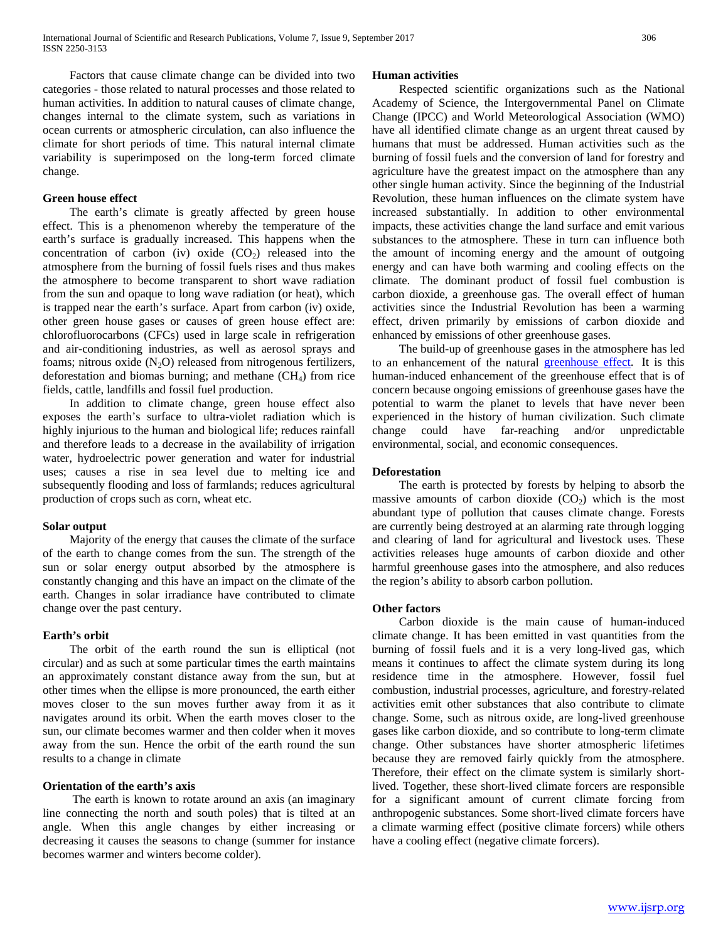Factors that cause climate change can be divided into two categories - those related to natural processes and those related to human activities. In addition to natural causes of climate change, changes internal to the climate system, such as variations in ocean currents or atmospheric circulation, can also influence the climate for short periods of time. This natural internal climate variability is superimposed on the long-term forced climate change.

# **Green house effect**

 The earth's climate is greatly affected by green house effect. This is a phenomenon whereby the temperature of the earth's surface is gradually increased. This happens when the concentration of carbon (iv) oxide  $(CO<sub>2</sub>)$  released into the atmosphere from the burning of fossil fuels rises and thus makes the atmosphere to become transparent to short wave radiation from the sun and opaque to long wave radiation (or heat), which is trapped near the earth's surface. Apart from carbon (iv) oxide, other green house gases or causes of green house effect are: chlorofluorocarbons (CFCs) used in large scale in refrigeration and air-conditioning industries, as well as aerosol sprays and foams; nitrous oxide  $(N_2O)$  released from nitrogenous fertilizers, deforestation and biomas burning; and methane  $(CH<sub>4</sub>)$  from rice fields, cattle, landfills and fossil fuel production.

 In addition to climate change, green house effect also exposes the earth's surface to ultra-violet radiation which is highly injurious to the human and biological life; reduces rainfall and therefore leads to a decrease in the availability of irrigation water, hydroelectric power generation and water for industrial uses; causes a rise in sea level due to melting ice and subsequently flooding and loss of farmlands; reduces agricultural production of crops such as corn, wheat etc.

#### **Solar output**

 Majority of the energy that causes the climate of the surface of the earth to change comes from the sun. The strength of the sun or solar energy output absorbed by the atmosphere is constantly changing and this have an impact on the climate of the earth. Changes in solar irradiance have contributed to climate change over the past century.

## **Earth's orbit**

 The orbit of the earth round the sun is elliptical (not circular) and as such at some particular times the earth maintains an approximately constant distance away from the sun, but at other times when the ellipse is more pronounced, the earth either moves closer to the sun moves further away from it as it navigates around its orbit. When the earth moves closer to the sun, our climate becomes warmer and then colder when it moves away from the sun. Hence the orbit of the earth round the sun results to a change in climate

# **Orientation of the earth's axis**

 The earth is known to rotate around an axis (an imaginary line connecting the north and south poles) that is tilted at an angle. When this angle changes by either increasing or decreasing it causes the seasons to change (summer for instance becomes warmer and winters become colder).

#### **Human activities**

 Respected scientific organizations such as the National Academy of Science, the Intergovernmental Panel on Climate Change (IPCC) and World Meteorological Association (WMO) have all identified climate change as an urgent threat caused by humans that must be addressed. Human activities such as the burning of fossil fuels and the conversion of land for forestry and agriculture have the greatest impact on the atmosphere than any other single human activity. Since the beginning of the Industrial Revolution, these human influences on the climate system have increased substantially. In addition to other environmental impacts, these activities change the land surface and emit various substances to the atmosphere. These in turn can influence both the amount of incoming energy and the amount of outgoing energy and can have both warming and cooling effects on the climate. The dominant product of fossil fuel combustion is carbon dioxide, a greenhouse gas. The overall effect of human activities since the Industrial Revolution has been a warming effect, driven primarily by emissions of carbon dioxide and enhanced by emissions of other greenhouse gases.

 The build-up of greenhouse gases in the atmosphere has led to an enhancement of the natural [greenhouse effect.](http://www.climatechange.gc.ca/default.asp?lang=En&n=1A0305D5-1) It is this human-induced enhancement of the greenhouse effect that is of concern because ongoing emissions of greenhouse gases have the potential to warm the planet to levels that have never been experienced in the history of human civilization. Such climate change could have far-reaching and/or unpredictable environmental, social, and economic consequences.

# **Deforestation**

 The earth is protected by forests by helping to absorb the massive amounts of carbon dioxide  $(CO<sub>2</sub>)$  which is the most abundant type of pollution that causes climate change. Forests are currently being destroyed at an alarming rate through logging and clearing of land for agricultural and livestock uses. These activities releases huge amounts of carbon dioxide and other harmful greenhouse gases into the atmosphere, and also reduces the region's ability to absorb carbon pollution.

#### **Other factors**

 Carbon dioxide is the main cause of human-induced climate change. It has been emitted in vast quantities from the burning of fossil fuels and it is a very long-lived gas, which means it continues to affect the climate system during its long residence time in the atmosphere. However, fossil fuel combustion, industrial processes, agriculture, and forestry-related activities emit other substances that also contribute to climate change. Some, such as nitrous oxide, are long-lived greenhouse gases like carbon dioxide, and so contribute to long-term climate change. Other substances have shorter atmospheric lifetimes because they are removed fairly quickly from the atmosphere. Therefore, their effect on the climate system is similarly shortlived. Together, these short-lived climate forcers are responsible for a significant amount of current climate forcing from anthropogenic substances. Some short-lived climate forcers have a climate warming effect (positive climate forcers) while others have a cooling effect (negative climate forcers).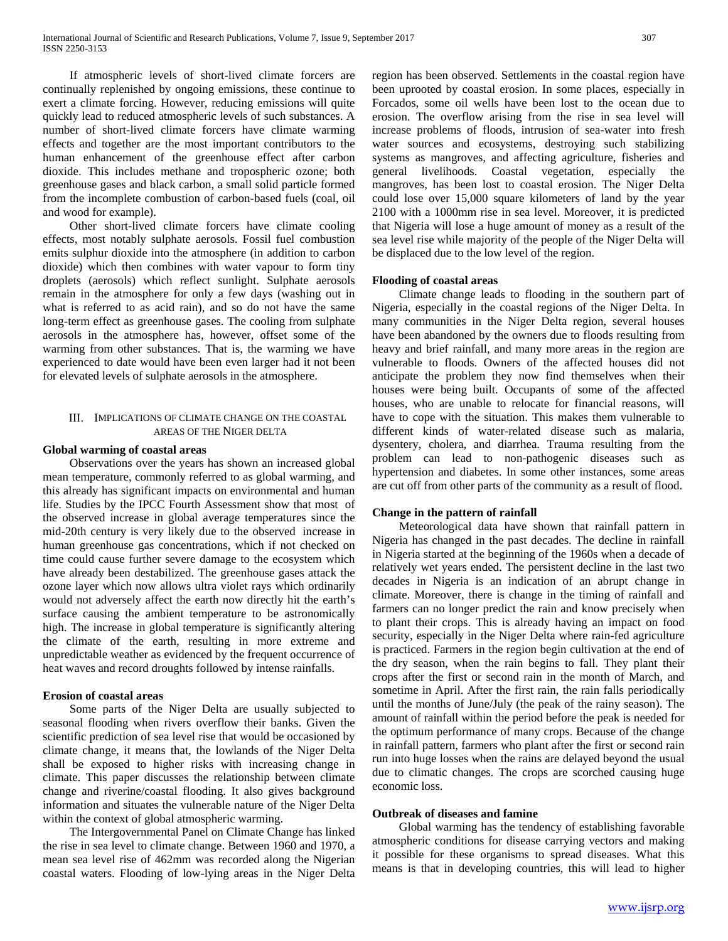If atmospheric levels of short-lived climate forcers are continually replenished by ongoing emissions, these continue to exert a climate forcing. However, reducing emissions will quite quickly lead to reduced atmospheric levels of such substances. A number of short-lived climate forcers have climate warming effects and together are the most important contributors to the human enhancement of the greenhouse effect after carbon dioxide. This includes methane and tropospheric ozone; both greenhouse gases and black carbon, a small solid particle formed from the incomplete combustion of carbon-based fuels (coal, oil and wood for example).

 Other short-lived climate forcers have climate cooling effects, most notably sulphate aerosols. Fossil fuel combustion emits sulphur dioxide into the atmosphere (in addition to carbon dioxide) which then combines with water vapour to form tiny droplets (aerosols) which reflect sunlight. Sulphate aerosols remain in the atmosphere for only a few days (washing out in what is referred to as acid rain), and so do not have the same long-term effect as greenhouse gases. The cooling from sulphate aerosols in the atmosphere has, however, offset some of the warming from other substances. That is, the warming we have experienced to date would have been even larger had it not been for elevated levels of sulphate aerosols in the atmosphere.

# III. IMPLICATIONS OF CLIMATE CHANGE ON THE COASTAL AREAS OF THE NIGER DELTA

# **Global warming of coastal areas**

 Observations over the years has shown an increased global mean temperature, commonly referred to as global warming, and this already has significant impacts on environmental and human life. Studies by the IPCC Fourth Assessment show that most of the observed increase in global average temperatures since the mid-20th century is very likely due to the observed increase in human greenhouse gas concentrations, which if not checked on time could cause further severe damage to the ecosystem which have already been destabilized. The greenhouse gases attack the ozone layer which now allows ultra violet rays which ordinarily would not adversely affect the earth now directly hit the earth's surface causing the ambient temperature to be astronomically high. The increase in global temperature is significantly altering the climate of the earth, resulting in more extreme and unpredictable weather as evidenced by the frequent occurrence of heat waves and record droughts followed by intense rainfalls.

# **Erosion of coastal areas**

 Some parts of the Niger Delta are usually subjected to seasonal flooding when rivers overflow their banks. Given the scientific prediction of sea level rise that would be occasioned by climate change, it means that, the lowlands of the Niger Delta shall be exposed to higher risks with increasing change in climate. This paper discusses the relationship between climate change and riverine/coastal flooding. It also gives background information and situates the vulnerable nature of the Niger Delta within the context of global atmospheric warming.

 The Intergovernmental Panel on Climate Change has linked the rise in sea level to climate change. Between 1960 and 1970, a mean sea level rise of 462mm was recorded along the Nigerian coastal waters. Flooding of low-lying areas in the Niger Delta

region has been observed. Settlements in the coastal region have been uprooted by coastal erosion. In some places, especially in Forcados, some oil wells have been lost to the ocean due to erosion. The overflow arising from the rise in sea level will increase problems of floods, intrusion of sea-water into fresh water sources and ecosystems, destroying such stabilizing systems as mangroves, and affecting agriculture, fisheries and general livelihoods. Coastal vegetation, especially the mangroves, has been lost to coastal erosion. The Niger Delta could lose over 15,000 square kilometers of land by the year 2100 with a 1000mm rise in sea level. Moreover, it is predicted that Nigeria will lose a huge amount of money as a result of the sea level rise while majority of the people of the Niger Delta will be displaced due to the low level of the region.

# **Flooding of coastal areas**

 Climate change leads to flooding in the southern part of Nigeria, especially in the coastal regions of the Niger Delta. In many communities in the Niger Delta region, several houses have been abandoned by the owners due to floods resulting from heavy and brief rainfall, and many more areas in the region are vulnerable to floods. Owners of the affected houses did not anticipate the problem they now find themselves when their houses were being built. Occupants of some of the affected houses, who are unable to relocate for financial reasons, will have to cope with the situation. This makes them vulnerable to different kinds of water-related disease such as malaria, dysentery, cholera, and diarrhea. Trauma resulting from the problem can lead to non-pathogenic diseases such as hypertension and diabetes. In some other instances, some areas are cut off from other parts of the community as a result of flood.

## **Change in the pattern of rainfall**

 Meteorological data have shown that rainfall pattern in Nigeria has changed in the past decades. The decline in rainfall in Nigeria started at the beginning of the 1960s when a decade of relatively wet years ended. The persistent decline in the last two decades in Nigeria is an indication of an abrupt change in climate. Moreover, there is change in the timing of rainfall and farmers can no longer predict the rain and know precisely when to plant their crops. This is already having an impact on food security, especially in the Niger Delta where rain-fed agriculture is practiced. Farmers in the region begin cultivation at the end of the dry season, when the rain begins to fall. They plant their crops after the first or second rain in the month of March, and sometime in April. After the first rain, the rain falls periodically until the months of June/July (the peak of the rainy season). The amount of rainfall within the period before the peak is needed for the optimum performance of many crops. Because of the change in rainfall pattern, farmers who plant after the first or second rain run into huge losses when the rains are delayed beyond the usual due to climatic changes. The crops are scorched causing huge economic loss.

## **Outbreak of diseases and famine**

 Global warming has the tendency of establishing favorable atmospheric conditions for disease carrying vectors and making it possible for these organisms to spread diseases. What this means is that in developing countries, this will lead to higher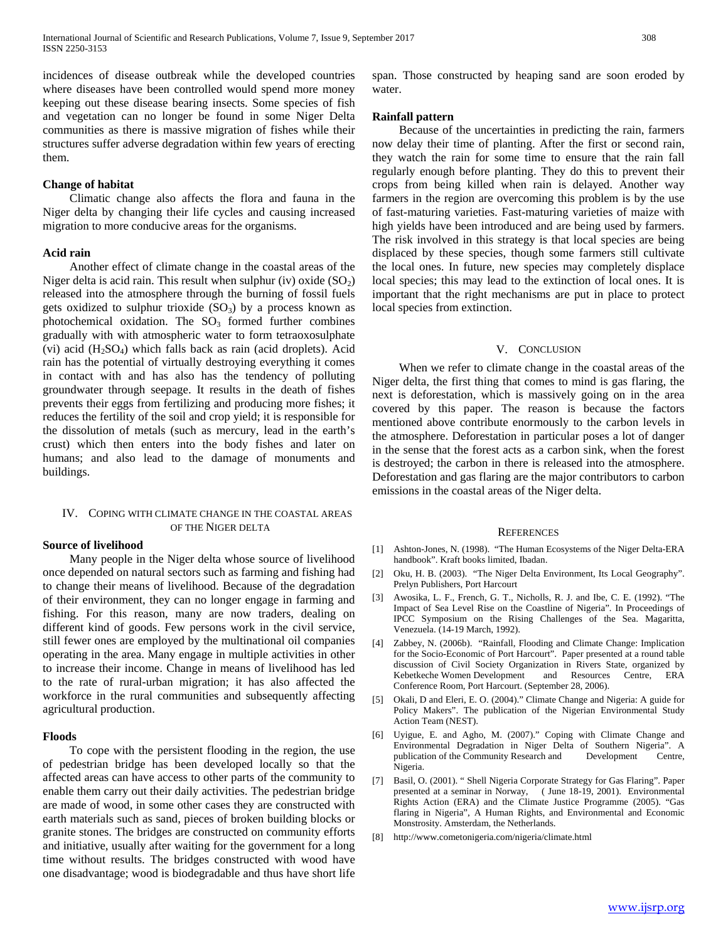incidences of disease outbreak while the developed countries where diseases have been controlled would spend more money keeping out these disease bearing insects. Some species of fish and vegetation can no longer be found in some Niger Delta communities as there is massive migration of fishes while their structures suffer adverse degradation within few years of erecting them.

## **Change of habitat**

 Climatic change also affects the flora and fauna in the Niger delta by changing their life cycles and causing increased migration to more conducive areas for the organisms.

# **Acid rain**

 Another effect of climate change in the coastal areas of the Niger delta is acid rain. This result when sulphur (iv) oxide  $(SO<sub>2</sub>)$ released into the atmosphere through the burning of fossil fuels gets oxidized to sulphur trioxide  $(SO<sub>3</sub>)$  by a process known as photochemical oxidation. The  $SO<sub>3</sub>$  formed further combines gradually with with atmospheric water to form tetraoxosulphate (vi) acid  $(H_2SO_4)$  which falls back as rain (acid droplets). Acid rain has the potential of virtually destroying everything it comes in contact with and has also has the tendency of polluting groundwater through seepage. It results in the death of fishes prevents their eggs from fertilizing and producing more fishes; it reduces the fertility of the soil and crop yield; it is responsible for the dissolution of metals (such as mercury, lead in the earth's crust) which then enters into the body fishes and later on humans; and also lead to the damage of monuments and buildings.

# IV. COPING WITH CLIMATE CHANGE IN THE COASTAL AREAS OF THE NIGER DELTA

#### **Source of livelihood**

 Many people in the Niger delta whose source of livelihood once depended on natural sectors such as farming and fishing had to change their means of livelihood. Because of the degradation of their environment, they can no longer engage in farming and fishing. For this reason, many are now traders, dealing on different kind of goods. Few persons work in the civil service, still fewer ones are employed by the multinational oil companies operating in the area. Many engage in multiple activities in other to increase their income. Change in means of livelihood has led to the rate of rural-urban migration; it has also affected the workforce in the rural communities and subsequently affecting agricultural production.

## **Floods**

 To cope with the persistent flooding in the region, the use of pedestrian bridge has been developed locally so that the affected areas can have access to other parts of the community to enable them carry out their daily activities. The pedestrian bridge are made of wood, in some other cases they are constructed with earth materials such as sand, pieces of broken building blocks or granite stones. The bridges are constructed on community efforts and initiative, usually after waiting for the government for a long time without results. The bridges constructed with wood have one disadvantage; wood is biodegradable and thus have short life span. Those constructed by heaping sand are soon eroded by water.

## **Rainfall pattern**

 Because of the uncertainties in predicting the rain, farmers now delay their time of planting. After the first or second rain, they watch the rain for some time to ensure that the rain fall regularly enough before planting. They do this to prevent their crops from being killed when rain is delayed. Another way farmers in the region are overcoming this problem is by the use of fast-maturing varieties. Fast-maturing varieties of maize with high yields have been introduced and are being used by farmers. The risk involved in this strategy is that local species are being displaced by these species, though some farmers still cultivate the local ones. In future, new species may completely displace local species; this may lead to the extinction of local ones. It is important that the right mechanisms are put in place to protect local species from extinction.

#### V. CONCLUSION

 When we refer to climate change in the coastal areas of the Niger delta, the first thing that comes to mind is gas flaring, the next is deforestation, which is massively going on in the area covered by this paper. The reason is because the factors mentioned above contribute enormously to the carbon levels in the atmosphere. Deforestation in particular poses a lot of danger in the sense that the forest acts as a carbon sink, when the forest is destroyed; the carbon in there is released into the atmosphere. Deforestation and gas flaring are the major contributors to carbon emissions in the coastal areas of the Niger delta.

#### REFERENCES

- [1] Ashton-Jones, N. (1998). "The Human Ecosystems of the Niger Delta-ERA handbook". Kraft books limited, Ibadan.
- [2] Oku, H. B. (2003). "The Niger Delta Environment, Its Local Geography". Prelyn Publishers, Port Harcourt
- [3] Awosika, L. F., French, G. T., Nicholls, R. J. and Ibe, C. E. (1992). "The Impact of Sea Level Rise on the Coastline of Nigeria"*.* In Proceedings of IPCC Symposium on the Rising Challenges of the Sea. Magaritta, Venezuela. (14-19 March, 1992).
- [4] Zabbey, N. (2006b). "Rainfall, Flooding and Climate Change: Implication for the Socio-Economic of Port Harcourt". Paper presented at a round table discussion of Civil Society Organization in Rivers State, organized by Kebetkeche Women Development and Resources Centre, ERA Conference Room, Port Harcourt. (September 28, 2006).
- [5] Okali, D and Eleri, E. O. (2004)." Climate Change and Nigeria: A guide for Policy Makers". The publication of the Nigerian Environmental Study Action Team (NEST).
- [6] Uyigue, E. and Agho, M. (2007)." Coping with Climate Change and Environmental Degradation in Niger Delta of Southern Nigeria". A publication of the Community Research and Development Centre, Nigeria.
- [7] Basil, O. (2001). " Shell Nigeria Corporate Strategy for Gas Flaring". Paper presented at a seminar in Norway, ( June 18-19, 2001). Environmental Rights Action (ERA) and the Climate Justice Programme (2005). "Gas flaring in Nigeria", A Human Rights, and Environmental and Economic Monstrosity. Amsterdam, the Netherlands.
- [8] http://www.cometonigeria.com/nigeria/climate.html